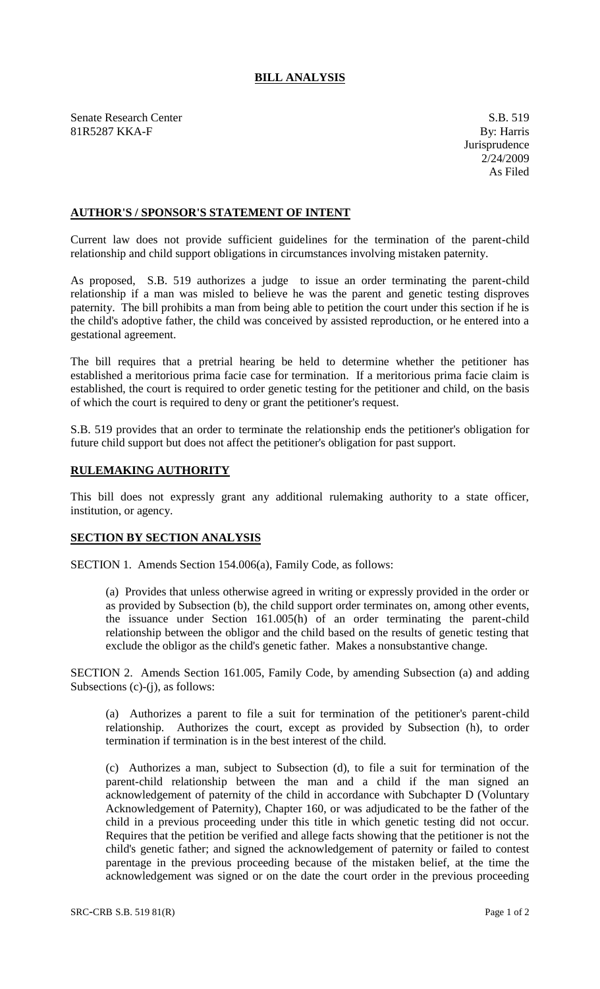## **BILL ANALYSIS**

Senate Research Center S.B. 519 81R5287 KKA-F By: Harris

## **AUTHOR'S / SPONSOR'S STATEMENT OF INTENT**

Current law does not provide sufficient guidelines for the termination of the parent-child relationship and child support obligations in circumstances involving mistaken paternity.

As proposed, S.B. 519 authorizes a judge to issue an order terminating the parent-child relationship if a man was misled to believe he was the parent and genetic testing disproves paternity. The bill prohibits a man from being able to petition the court under this section if he is the child's adoptive father, the child was conceived by assisted reproduction, or he entered into a gestational agreement.

The bill requires that a pretrial hearing be held to determine whether the petitioner has established a meritorious prima facie case for termination. If a meritorious prima facie claim is established, the court is required to order genetic testing for the petitioner and child, on the basis of which the court is required to deny or grant the petitioner's request.

S.B. 519 provides that an order to terminate the relationship ends the petitioner's obligation for future child support but does not affect the petitioner's obligation for past support.

## **RULEMAKING AUTHORITY**

This bill does not expressly grant any additional rulemaking authority to a state officer, institution, or agency.

## **SECTION BY SECTION ANALYSIS**

SECTION 1. Amends Section 154.006(a), Family Code, as follows:

(a) Provides that unless otherwise agreed in writing or expressly provided in the order or as provided by Subsection (b), the child support order terminates on, among other events, the issuance under Section 161.005(h) of an order terminating the parent-child relationship between the obligor and the child based on the results of genetic testing that exclude the obligor as the child's genetic father. Makes a nonsubstantive change.

SECTION 2. Amends Section 161.005, Family Code, by amending Subsection (a) and adding Subsections  $(c)-(j)$ , as follows:

(a) Authorizes a parent to file a suit for termination of the petitioner's parent-child relationship. Authorizes the court, except as provided by Subsection (h), to order termination if termination is in the best interest of the child.

(c) Authorizes a man, subject to Subsection (d), to file a suit for termination of the parent-child relationship between the man and a child if the man signed an acknowledgement of paternity of the child in accordance with Subchapter D (Voluntary Acknowledgement of Paternity), Chapter 160, or was adjudicated to be the father of the child in a previous proceeding under this title in which genetic testing did not occur. Requires that the petition be verified and allege facts showing that the petitioner is not the child's genetic father; and signed the acknowledgement of paternity or failed to contest parentage in the previous proceeding because of the mistaken belief, at the time the acknowledgement was signed or on the date the court order in the previous proceeding